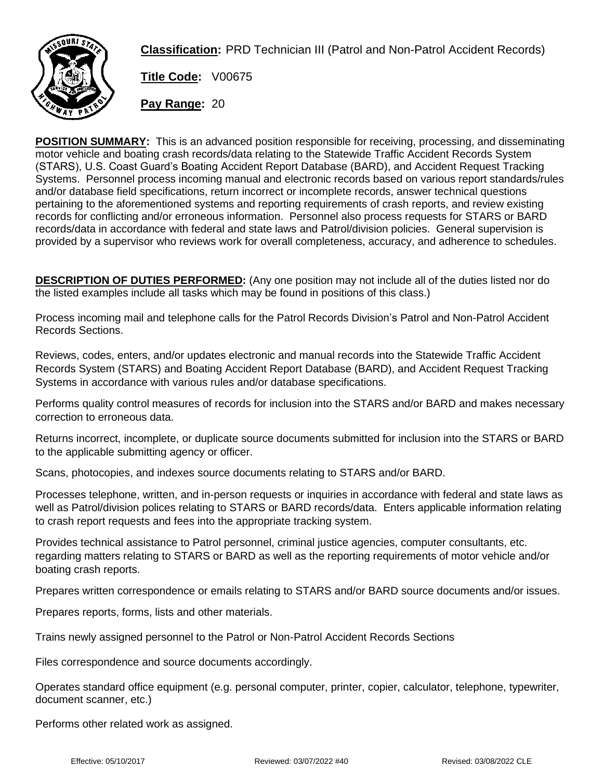

**Classification:** PRD Technician III (Patrol and Non-Patrol Accident Records)

**Title Code:** V00675

**Pay Range:** 20

**POSITION SUMMARY:** This is an advanced position responsible for receiving, processing, and disseminating motor vehicle and boating crash records/data relating to the Statewide Traffic Accident Records System (STARS), U.S. Coast Guard's Boating Accident Report Database (BARD), and Accident Request Tracking Systems. Personnel process incoming manual and electronic records based on various report standards/rules and/or database field specifications, return incorrect or incomplete records, answer technical questions pertaining to the aforementioned systems and reporting requirements of crash reports, and review existing records for conflicting and/or erroneous information. Personnel also process requests for STARS or BARD records/data in accordance with federal and state laws and Patrol/division policies. General supervision is provided by a supervisor who reviews work for overall completeness, accuracy, and adherence to schedules.

**DESCRIPTION OF DUTIES PERFORMED:** (Any one position may not include all of the duties listed nor do the listed examples include all tasks which may be found in positions of this class.)

Process incoming mail and telephone calls for the Patrol Records Division's Patrol and Non-Patrol Accident Records Sections.

Reviews, codes, enters, and/or updates electronic and manual records into the Statewide Traffic Accident Records System (STARS) and Boating Accident Report Database (BARD), and Accident Request Tracking Systems in accordance with various rules and/or database specifications.

Performs quality control measures of records for inclusion into the STARS and/or BARD and makes necessary correction to erroneous data.

Returns incorrect, incomplete, or duplicate source documents submitted for inclusion into the STARS or BARD to the applicable submitting agency or officer.

Scans, photocopies, and indexes source documents relating to STARS and/or BARD.

Processes telephone, written, and in-person requests or inquiries in accordance with federal and state laws as well as Patrol/division polices relating to STARS or BARD records/data. Enters applicable information relating to crash report requests and fees into the appropriate tracking system.

Provides technical assistance to Patrol personnel, criminal justice agencies, computer consultants, etc. regarding matters relating to STARS or BARD as well as the reporting requirements of motor vehicle and/or boating crash reports.

Prepares written correspondence or emails relating to STARS and/or BARD source documents and/or issues.

Prepares reports, forms, lists and other materials.

Trains newly assigned personnel to the Patrol or Non-Patrol Accident Records Sections

Files correspondence and source documents accordingly.

Operates standard office equipment (e.g. personal computer, printer, copier, calculator, telephone, typewriter, document scanner, etc.)

Performs other related work as assigned.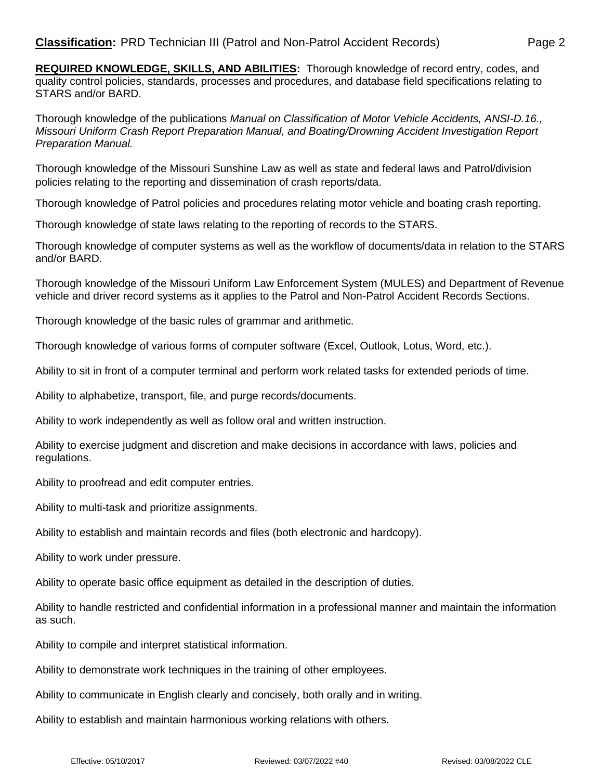**REQUIRED KNOWLEDGE, SKILLS, AND ABILITIES:** Thorough knowledge of record entry, codes, and quality control policies, standards, processes and procedures, and database field specifications relating to STARS and/or BARD.

Thorough knowledge of the publications *Manual on Classification of Motor Vehicle Accidents, ANSI-D.16., Missouri Uniform Crash Report Preparation Manual, and Boating/Drowning Accident Investigation Report Preparation Manual.*

Thorough knowledge of the Missouri Sunshine Law as well as state and federal laws and Patrol/division policies relating to the reporting and dissemination of crash reports/data.

Thorough knowledge of Patrol policies and procedures relating motor vehicle and boating crash reporting.

Thorough knowledge of state laws relating to the reporting of records to the STARS.

Thorough knowledge of computer systems as well as the workflow of documents/data in relation to the STARS and/or BARD.

Thorough knowledge of the Missouri Uniform Law Enforcement System (MULES) and Department of Revenue vehicle and driver record systems as it applies to the Patrol and Non-Patrol Accident Records Sections.

Thorough knowledge of the basic rules of grammar and arithmetic.

Thorough knowledge of various forms of computer software (Excel, Outlook, Lotus, Word, etc.).

Ability to sit in front of a computer terminal and perform work related tasks for extended periods of time.

Ability to alphabetize, transport, file, and purge records/documents.

Ability to work independently as well as follow oral and written instruction.

Ability to exercise judgment and discretion and make decisions in accordance with laws, policies and regulations.

Ability to proofread and edit computer entries.

Ability to multi-task and prioritize assignments.

Ability to establish and maintain records and files (both electronic and hardcopy).

Ability to work under pressure.

Ability to operate basic office equipment as detailed in the description of duties.

Ability to handle restricted and confidential information in a professional manner and maintain the information as such.

Ability to compile and interpret statistical information.

Ability to demonstrate work techniques in the training of other employees.

Ability to communicate in English clearly and concisely, both orally and in writing.

Ability to establish and maintain harmonious working relations with others.